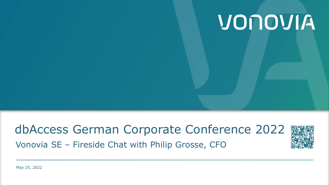# VONOVIA

## dbAccess German Corporate Conference 2022 Vonovia SE – Fireside Chat with Philip Grosse, CFO

May 25, 2022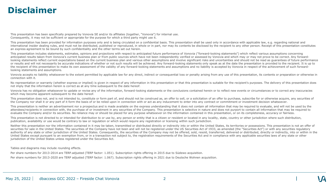### **Disclaimer**

This presentation has been specifically prepared by Vonovia SE and/or its affiliates (together, "Vonovia") for internal use. Consequently, it may not be sufficient or appropriate for the purpose for which a third party might use it.

This presentation has been provided for information purposes only and is being circulated on a confidential basis. This presentation shall be used only in accordance with applicable law, e.g. regarding national and international insider dealing rules, and must not be distributed, published or reproduced, in whole or in part, nor may its contents be disclosed by the recipient to any other person. Receipt of this presentation constitutes an express agreement to be bound by such confidentiality and the other terms set out herein.

This presentation includes statements, estimates, opinions and projections with respect to anticipated future performance of Vonovia ("forward-looking statements") which reflect various assumptions concerning anticipated results taken from Vonovia's current business plan or from public sources which have not been independently verified or assessed by Vonovia and which may or may not prove to be correct. Any forwardlooking statements reflect current expectations based on the current business plan and various other assumptions and involve significant risks and uncertainties and should not be read as quarantees of future performance or results and will not necessarily be accurate indications of whether or not such results will be achieved. Any forward-looking statements only speak as at the date the presentation is provided to the recipient. It is up to the recipient of this presentation to make its own assessment of the validity of any forward-looking statements and assumptions and no liability is accepted by Vonovia in respect of the achievement of such forwardlooking statements and assumptions.

Vonovia accepts no liability whatsoever to the extent permitted by applicable law for any direct, indirect or consequential loss or penalty arising from any use of this presentation, its contents or preparation or otherwis connection with it.

No representation or warranty (whether express or implied) is given in respect of any information in this presentation or that this presentation is suitable for the recipient's purposes. The delivery of this presentation d not imply that the information herein is correct as at any time subsequent to the date hereof.

Vonovia has no obligation whatsoever to update or revise any of the information, forward-looking statements or the conclusions contained herein or to reflect new events or circumstances or to correct any inaccuracies which may become apparent subsequent to the date hereof.

This presentation does not, and is not intended to, constitute or form part of, and should not be construed as, an offer to sell, or a solicitation of an offer to purchase, subscribe for or otherwise acquire, any securitie the Company nor shall it or any part of it form the basis of or be relied upon in connection with or act as any inducement to enter into any contract or commitment or investment decision whatsoever.

This presentation is neither an advertisement nor a prospectus and is made available on the express understanding that it does not contain all information that may be required to evaluate, and will not be used by the attendees/recipients in connection with, the purchase of or investment in any securities of the Company. This presentation is selective in nature and does not purport to contain all information that may be required to evaluate the Company and/or its securities. No reliance may or should be placed for any purpose whatsoever on the information contained in this presentation, or on its completeness, accuracy or fairness.

This presentation is not directed to or intended for distribution to or use by, any person or entity that is a citizen or resident or located in any locality, state, country or other jurisdiction where such distribution, publication, availability or use would be contrary to law or regulation or which would require any registration or licensing within such jurisdiction.

Neither this presentation nor the information contained in it may be taken, transmitted or distributed directly or indirectly into or within the United States, its territories or possessions. This presentation is not an of securities for sale in the United States. The securities of the Company have not been and will not be registered under the US Securities Act of 1933, as amended (the "Securities Act") or with any securities regulatory authority of any state or other jurisdiction of the United States. Consequently, the securities of the Company may not be offered, sold, resold, transferred, delivered or distributed, directly or indirectly, into or within United States except pursuant to an exemption from, or in a transaction not subject to, the registration requirements of the Securities Act and in compliance with any applicable securities laws of any state or other jurisdiction of the United States unless registered under the Securities Act.

Tables and diagrams may include rounding effects.

Per share numbers for 2013-2014 are TERP.adjusted (TERP factor: 1.051). Subscription rights offering in 2015 due to Südewo acquisition.

Per share numbers for 2013-2020 are TERP adjusted (TERP factor: 1.067). Subscription rights offering in 2021 due to Deutsche Wohnen acquisition.